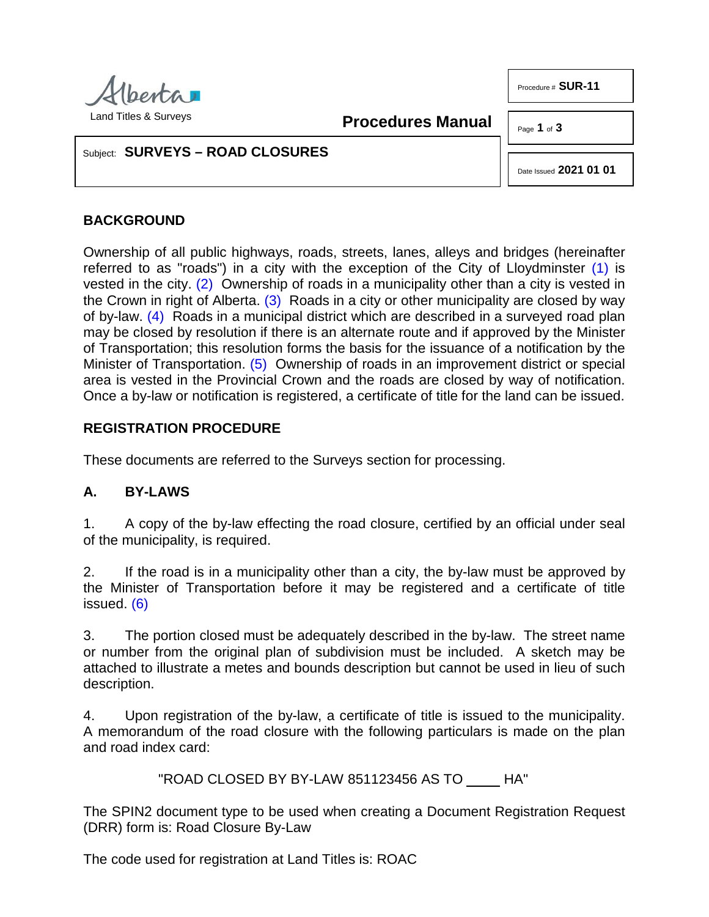

Procedure # **SUR-11**

**Procedures Manual**

Page **1** of **3**

#### Subject: **SURVEYS – ROAD CLOSURES**

<span id="page-0-0"></span>Date Issued **2021 01 01**

### **BACKGROUND**

<span id="page-0-3"></span><span id="page-0-2"></span><span id="page-0-1"></span>Ownership of all public highways, roads, streets, lanes, alleys and bridges (hereinafter referred to as "roads") in a city with the exception of the City of Lloydminster  $(1)$  is vested in the city. [\(2\)](#page-2-1) Ownership of roads in a municipality other than a city is vested in the Crown in right of Alberta.  $(3)$  Roads in a city or other municipality are closed by way of by-law. [\(4\)](#page-2-3) Roads in a municipal district which are described in a surveyed road plan may be closed by resolution if there is an alternate route and if approved by the Minister of Transportation; this resolution forms the basis for the issuance of a notification by the Minister of Transportation. [\(5\)](#page-2-4) Ownership of roads in an improvement district or special area is vested in the Provincial Crown and the roads are closed by way of notification. Once a by-law or notification is registered, a certificate of title for the land can be issued.

#### <span id="page-0-4"></span>**REGISTRATION PROCEDURE**

These documents are referred to the Surveys section for processing.

# **A. BY-LAWS**

1. A copy of the by-law effecting the road closure, certified by an official under seal of the municipality, is required.

<span id="page-0-5"></span>2. If the road is in a municipality other than a city, the by-law must be approved by the Minister of Transportation before it may be registered and a certificate of title issued. [\(6\)](#page-2-5)

3. The portion closed must be adequately described in the by-law. The street name or number from the original plan of subdivision must be included. A sketch may be attached to illustrate a metes and bounds description but cannot be used in lieu of such description.

4. Upon registration of the by-law, a certificate of title is issued to the municipality. A memorandum of the road closure with the following particulars is made on the plan and road index card:

"ROAD CLOSED BY BY-LAW 851123456 AS TO HA"

The SPIN2 document type to be used when creating a Document Registration Request (DRR) form is: Road Closure By-Law

The code used for registration at Land Titles is: ROAC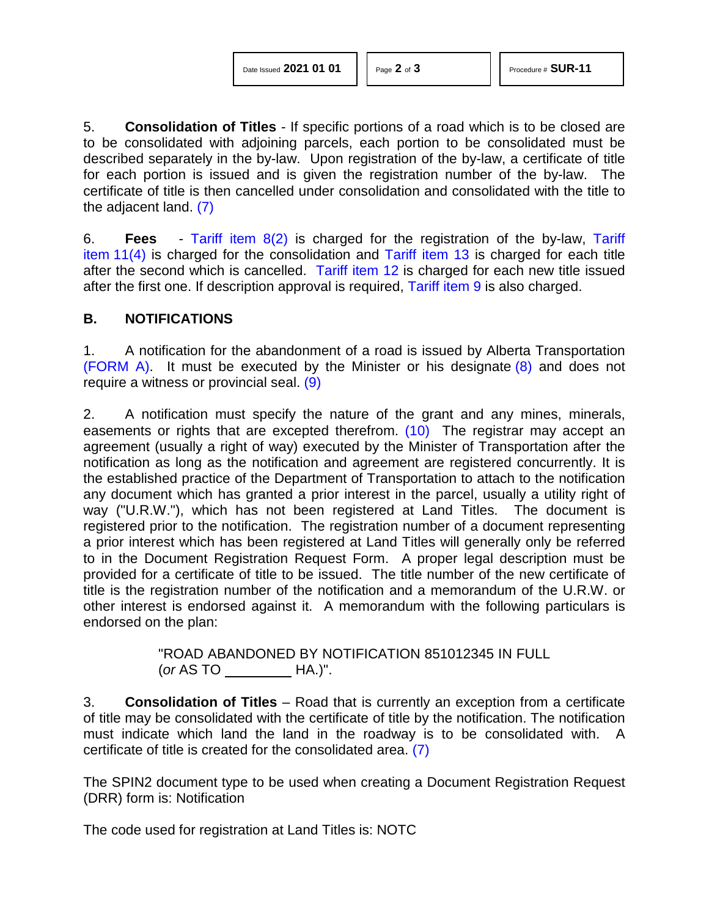<span id="page-1-1"></span>

5. **Consolidation of Titles** - If specific portions of a road which is to be closed are to be consolidated with adjoining parcels, each portion to be consolidated must be described separately in the by-law. Upon registration of the by-law, a certificate of title for each portion is issued and is given the registration number of the by-law. The certificate of title is then cancelled under consolidation and consolidated with the title to the adjacent land. [\(7\)](#page-2-6)

<span id="page-1-0"></span>6. **Fees** - [Tariff item 8\(2\)](http://www.servicealberta.ca/pdf/ltmanual/APPENDIXI.PDF) is charged for the registration of the by-law, [Tariff](http://www.servicealberta.ca/pdf/ltmanual/APPENDIXI.PDF)  item  $11(4)$  is charged for the consolidation and [Tariff item 13](http://www.servicealberta.ca/pdf/ltmanual/APPENDIXI.PDF) is charged for each title after the second which is cancelled. [Tariff item 12](http://www.servicealberta.ca/pdf/ltmanual/APPENDIXI.PDF) is charged for each new title issued after the first one. If description approval is required, [Tariff item 9](http://www.servicealberta.ca/pdf/ltmanual/APPENDIXI.PDF) is also charged.

#### **B. NOTIFICATIONS**

<span id="page-1-2"></span>1. A notification for the abandonment of a road is issued by Alberta Transportation [\(FORM A\).](http://www.servicealberta.ca/pdf/ltmanual/SUR-11-FORMA.PDF) It must be executed by the Minister or his designate  $(8)$  and does not require a witness or provincial seal. [\(9\)](#page-2-8)

<span id="page-1-3"></span>2. A notification must specify the nature of the grant and any mines, minerals, easements or rights that are excepted therefrom. [\(10\)](#page-2-9) The registrar may accept an agreement (usually a right of way) executed by the Minister of Transportation after the notification as long as the notification and agreement are registered concurrently. It is the established practice of the Department of Transportation to attach to the notification any document which has granted a prior interest in the parcel, usually a utility right of way ("U.R.W."), which has not been registered at Land Titles. The document is registered prior to the notification. The registration number of a document representing a prior interest which has been registered at Land Titles will generally only be referred to in the Document Registration Request Form. A proper legal description must be provided for a certificate of title to be issued. The title number of the new certificate of title is the registration number of the notification and a memorandum of the U.R.W. or other interest is endorsed against it. A memorandum with the following particulars is endorsed on the plan:

> "ROAD ABANDONED BY NOTIFICATION 851012345 IN FULL (*or* AS TO HA.)".

3. **Consolidation of Titles** – Road that is currently an exception from a certificate of title may be consolidated with the certificate of title by the notification. The notification must indicate which land the land in the roadway is to be consolidated with. A certificate of title is created for the consolidated area. [\(7\)](#page-2-6)

The SPIN2 document type to be used when creating a Document Registration Request (DRR) form is: Notification

The code used for registration at Land Titles is: NOTC